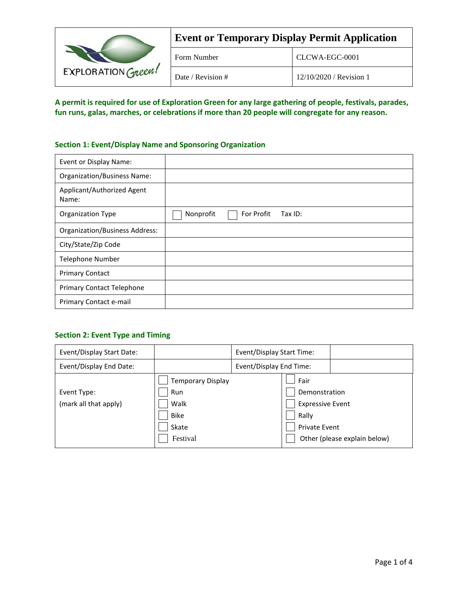| EXPLORATION Green! | <b>Event or Temporary Display Permit Application</b> |                         |  |
|--------------------|------------------------------------------------------|-------------------------|--|
|                    | Form Number                                          | CLCWA-EGC-0001          |  |
|                    | Date / Revision #                                    | 12/10/2020 / Revision 1 |  |

**A permit is required for use of Exploration Green for any large gathering of people, festivals, parades, fun runs, galas, marches, or celebrations if more than 20 people will congregate for any reason.**

## **Section 1: Event/Display Name and Sponsoring Organization**

| Event or Display Name:                |                                    |
|---------------------------------------|------------------------------------|
| <b>Organization/Business Name:</b>    |                                    |
| Applicant/Authorized Agent<br>Name:   |                                    |
| <b>Organization Type</b>              | Nonprofit<br>For Profit<br>Tax ID: |
| <b>Organization/Business Address:</b> |                                    |
| City/State/Zip Code                   |                                    |
| Telephone Number                      |                                    |
| <b>Primary Contact</b>                |                                    |
| <b>Primary Contact Telephone</b>      |                                    |
| Primary Contact e-mail                |                                    |

## **Section 2: Event Type and Timing**

| Event/Display Start Date:            |                                                                             | Event/Display Start Time: |                                                                                   |                              |
|--------------------------------------|-----------------------------------------------------------------------------|---------------------------|-----------------------------------------------------------------------------------|------------------------------|
| Event/Display End Date:              | Event/Display End Time:                                                     |                           |                                                                                   |                              |
| Event Type:<br>(mark all that apply) | <b>Temporary Display</b><br>Run<br>Walk<br><b>Bike</b><br>Skate<br>Festival |                           | Fair<br>Demonstration<br><b>Expressive Event</b><br>Rally<br><b>Private Event</b> | Other (please explain below) |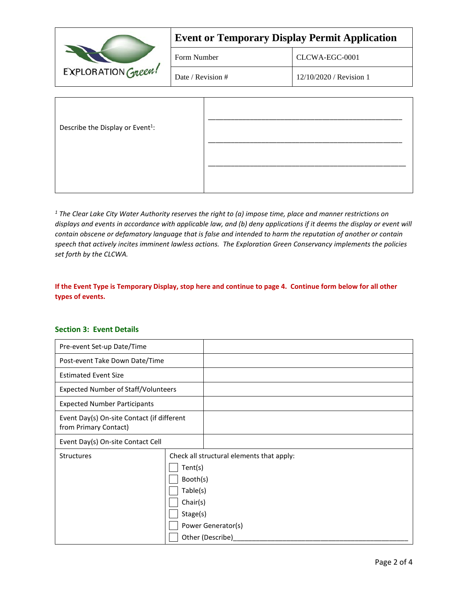|                                              | <b>Event or Temporary Display Permit Application</b> |                         |  |
|----------------------------------------------|------------------------------------------------------|-------------------------|--|
| EXPLORATION Green!                           | Form Number                                          | CLCWA-EGC-0001          |  |
|                                              | Date / Revision #                                    | 12/10/2020 / Revision 1 |  |
| Describe the Display or Event <sup>1</sup> : |                                                      |                         |  |

*<sup>1</sup> The Clear Lake City Water Authority reserves the right to (a) impose time, place and manner restrictions on displays and events in accordance with applicable law, and (b) deny applications if it deems the display or event will contain obscene or defamatory language that is false and intended to harm the reputation of another or contain speech that actively incites imminent lawless actions. The Exploration Green Conservancy implements the policies set forth by the CLCWA.*

## **If the Event Type is Temporary Display, stop here and continue to page 4. Continue form below for all other types of events.**

## **Section 3: Event Details**

| Pre-event Set-up Date/Time                                          |                                                                                                                                                |  |
|---------------------------------------------------------------------|------------------------------------------------------------------------------------------------------------------------------------------------|--|
| Post-event Take Down Date/Time                                      |                                                                                                                                                |  |
| <b>Estimated Event Size</b>                                         |                                                                                                                                                |  |
| <b>Expected Number of Staff/Volunteers</b>                          |                                                                                                                                                |  |
| <b>Expected Number Participants</b>                                 |                                                                                                                                                |  |
| Event Day(s) On-site Contact (if different<br>from Primary Contact) |                                                                                                                                                |  |
| Event Day(s) On-site Contact Cell                                   |                                                                                                                                                |  |
| <b>Structures</b>                                                   | Check all structural elements that apply:<br>Tent(s)<br>Booth(s)<br>Table(s)<br>Chair(s)<br>Stage(s)<br>Power Generator(s)<br>Other (Describe) |  |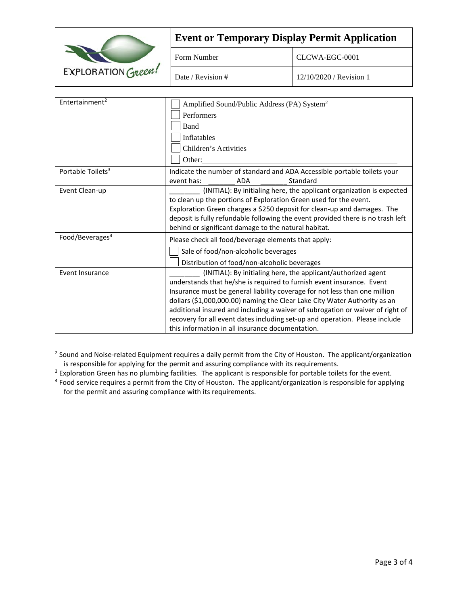|                               | <b>Event or Temporary Display Permit Application</b>                                                                                                                                                                                                                                                                                                                                                                                                                                                                   |                         |  |
|-------------------------------|------------------------------------------------------------------------------------------------------------------------------------------------------------------------------------------------------------------------------------------------------------------------------------------------------------------------------------------------------------------------------------------------------------------------------------------------------------------------------------------------------------------------|-------------------------|--|
|                               | Form Number                                                                                                                                                                                                                                                                                                                                                                                                                                                                                                            | CLCWA-EGC-0001          |  |
| EXPLORATION GREEN!            | Date / Revision #                                                                                                                                                                                                                                                                                                                                                                                                                                                                                                      | 12/10/2020 / Revision 1 |  |
| Entertainment <sup>2</sup>    | Amplified Sound/Public Address (PA) System <sup>2</sup><br>Performers<br>Band<br>Inflatables                                                                                                                                                                                                                                                                                                                                                                                                                           |                         |  |
|                               | Children's Activities<br>Other:                                                                                                                                                                                                                                                                                                                                                                                                                                                                                        |                         |  |
| Portable Toilets <sup>3</sup> | Indicate the number of standard and ADA Accessible portable toilets your<br>event has:<br><b>ADA</b><br>Standard                                                                                                                                                                                                                                                                                                                                                                                                       |                         |  |
| Event Clean-up                | (INITIAL): By initialing here, the applicant organization is expected<br>to clean up the portions of Exploration Green used for the event.<br>Exploration Green charges a \$250 deposit for clean-up and damages. The<br>deposit is fully refundable following the event provided there is no trash left<br>behind or significant damage to the natural habitat.                                                                                                                                                       |                         |  |
| Food/Beverages <sup>4</sup>   | Please check all food/beverage elements that apply:<br>Sale of food/non-alcoholic beverages<br>Distribution of food/non-alcoholic beverages                                                                                                                                                                                                                                                                                                                                                                            |                         |  |
| Event Insurance               | (INITIAL): By initialing here, the applicant/authorized agent<br>understands that he/she is required to furnish event insurance. Event<br>Insurance must be general liability coverage for not less than one million<br>dollars (\$1,000,000.00) naming the Clear Lake City Water Authority as an<br>additional insured and including a waiver of subrogation or waiver of right of<br>recovery for all event dates including set-up and operation. Please include<br>this information in all insurance documentation. |                         |  |

<sup>2</sup> Sound and Noise-related Equipment requires a daily permit from the City of Houston. The applicant/organization is responsible for applying for the permit and assuring compliance with its requirements.

<sup>3</sup> Exploration Green has no plumbing facilities. The applicant is responsible for portable toilets for the event.

<sup>4</sup> Food service requires a permit from the City of Houston. The applicant/organization is responsible for applying for the permit and assuring compliance with its requirements.